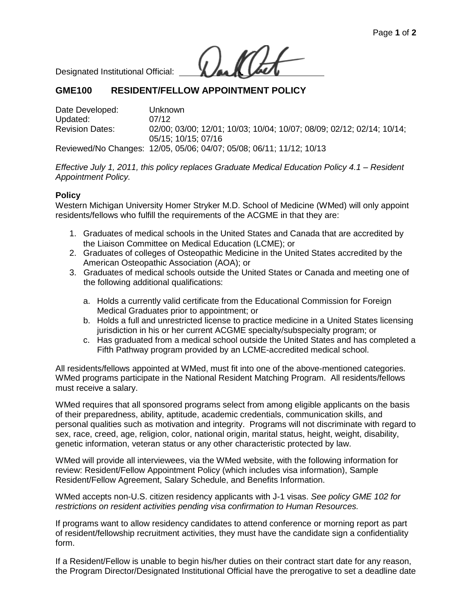Designated Institutional Official:

## **GME100 RESIDENT/FELLOW APPOINTMENT POLICY**

| Date Developed:        | Unknown                                                               |
|------------------------|-----------------------------------------------------------------------|
| Updated:               | 07/12                                                                 |
| <b>Revision Dates:</b> | 02/00; 03/00; 12/01; 10/03; 10/04; 10/07; 08/09; 02/12; 02/14; 10/14; |
|                        | 05/15; 10/15; 07/16                                                   |
|                        | Reviewed/No Changes: 12/05, 05/06; 04/07; 05/08; 06/11; 11/12; 10/13  |

*Effective July 1, 2011, this policy replaces Graduate Medical Education Policy 4.1 – Resident Appointment Policy.*

## **Policy**

Western Michigan University Homer Stryker M.D. School of Medicine (WMed) will only appoint residents/fellows who fulfill the requirements of the ACGME in that they are:

- 1. Graduates of medical schools in the United States and Canada that are accredited by the Liaison Committee on Medical Education (LCME); or
- 2. Graduates of colleges of Osteopathic Medicine in the United States accredited by the American Osteopathic Association (AOA); or
- 3. Graduates of medical schools outside the United States or Canada and meeting one of the following additional qualifications:
	- a. Holds a currently valid certificate from the Educational Commission for Foreign Medical Graduates prior to appointment; or
	- b. Holds a full and unrestricted license to practice medicine in a United States licensing jurisdiction in his or her current ACGME specialty/subspecialty program; or
	- c. Has graduated from a medical school outside the United States and has completed a Fifth Pathway program provided by an LCME-accredited medical school.

All residents/fellows appointed at WMed, must fit into one of the above-mentioned categories. WMed programs participate in the National Resident Matching Program. All residents/fellows must receive a salary.

WMed requires that all sponsored programs select from among eligible applicants on the basis of their preparedness, ability, aptitude, academic credentials, communication skills, and personal qualities such as motivation and integrity. Programs will not discriminate with regard to sex, race, creed, age, religion, color, national origin, marital status, height, weight, disability, genetic information, veteran status or any other characteristic protected by law.

WMed will provide all interviewees, via the WMed website, with the following information for review: Resident/Fellow Appointment Policy (which includes visa information), Sample Resident/Fellow Agreement, Salary Schedule, and Benefits Information.

WMed accepts non-U.S. citizen residency applicants with J-1 visas. *See policy GME 102 for restrictions on resident activities pending visa confirmation to Human Resources.* 

If programs want to allow residency candidates to attend conference or morning report as part of resident/fellowship recruitment activities, they must have the candidate sign a confidentiality form.

If a Resident/Fellow is unable to begin his/her duties on their contract start date for any reason, the Program Director/Designated Institutional Official have the prerogative to set a deadline date